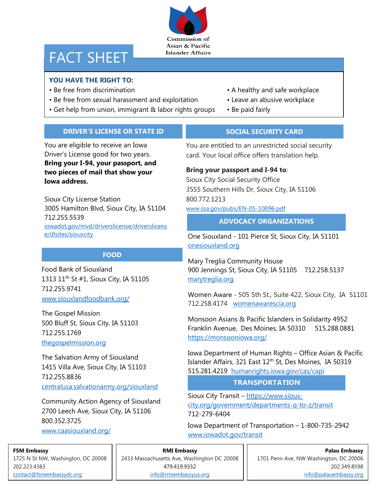Commission of Asian & Pacific **Islander Affairs** 

# FACT SHEET

# **YOU HAVE THE RIGHT TO:**

- 
- Be free from sexual harassment and exploitation Leave an abusive workplace
- Get help from union, immigrant & labor rights groups Be paid fairly
- Be free from discrimination  **A** healthy and safe workplace
	-
	-

# **DRIVER'S LICENSE OR STATE ID**

You are eligible to receive an Iowa Driver's License good for two years. **Bring your I-94, your passport, and two pieces of mail that show your Iowa address.**

Sioux City License Station 3005 Hamilton Blvd, Sioux City, IA 51104 712.255.5539 [iowadot.gov/mvd/driverslicense/driverslicens](https://iowadot.gov/mvd/driverslicense/driverslicense/dlsites/siouxcity) [e/dlsites/siouxcity](https://iowadot.gov/mvd/driverslicense/driverslicense/dlsites/siouxcity)

# **FOOD**

Food Bank of Siouxland 1313 11<sup>th</sup> St #1, Sioux City, IA 51105 712.255.9741 [www.siouxlandfoodbank.org/](http://www.siouxlandfoodbank.org/)

The Gospel Mission 500 Bluff St, Sioux City, IA 51103 712.255.1769 thegospelmission.org

The Salvation Army of Siouxland 1415 Villa Ave, Sioux City, IA 51103 712.255.8836 [centralusa.salvationarmy.org/siouxland](https://centralusa.salvationarmy.org/siouxland)

Community Action Agency of Siouxland 2700 Leech Ave, Sioux City, IA 51106 800.352.3725 [www.caasiouxland.org/](http://www.caasiouxland.org/)

# **SOCIAL SECURITY CARD**

You are entitled to an unrestricted social security card. Your local office offers translation help.

# **Bring your passport and I-94 to**:

Sioux City Social Security Office 3555 Southern Hills Dr, Sioux City, IA 51106 800.772.1213 [www.ssa.gov/pubs/EN-05-10096.pdf](http://www.ssa.gov/pubs/EN-05-10096.pdf)

# **ADVOCACY ORGANIZATIONS**

One Siouxland - 101 Pierce St, Sioux City, IA 51101 [onesiouxland.org](file://///iowa/data/DHRUsers/Rlaudic/My%20Documents/onesiouxland.org/)

Mary Treglia Community House 900 Jennings St, Sioux City, IA 51105 712.258.5137 [marytreglia.org](file://///iowa/data/DHRUsers/Rlaudic/My%20Documents/marytreglia.org/)

Women Aware - 505 5th St., Suite 422, Sioux City, IA 51101 712.258.4174 [womenawarescia.org](file://///iowa/data/DHRUsers/Rlaudic/My%20Documents/womenawarescia.org)

Monsoon Asians & Pacific Islanders in Solidarity 4952 Franklin Avenue, Des Moines, IA 50310 515.288.0881 <https://monsooniowa.org/>

Iowa Department of Human Rights – Office Asian & Pacific Islander Affairs, 321 East 12th St, Des Moines, IA 50319 515.281.4219 [humanrights.iowa.gov/cas/capi](https://humanrights.iowa.gov/cas/capi)

## **TRANSPORTATION**

Sioux City Transit – [https://www.sioux](https://www.sioux-city.org/government/departments-q-to-z/transit)[city.org/government/departments-q-to-z/transit](https://www.sioux-city.org/government/departments-q-to-z/transit) 712-279-6404

Iowa Department of Transportation – 1-800-735-2942 <www.iowadot.gov/transit>

# **FSM Embassy**

1725 N St NW, Washington, DC 20008 202.223.4383 [contact@fsmembassydc.org](file://///iowa.gov.state.ia.us/data/dhrusers/tshaw/COFA%20Migrants/contact@fsmembassydc.org)

**RMI Embassy** 2433 Massachusetts Ave, Washington DC 20008 479.419.9332 [info@rmiembassyus.org](file://///iowa.gov.state.ia.us/data/dhrusers/tshaw/COFA%20Migrants/info@rmiembassyus.org)

**Palau Embassy** 1701 Penn Ave, NW Washington, DC 20006 202.349.8598 [info@palauembassy.org](file://///iowa.gov.state.ia.us/data/dhrusers/tshaw/COFA%20Migrants/info@palauembassy.org)